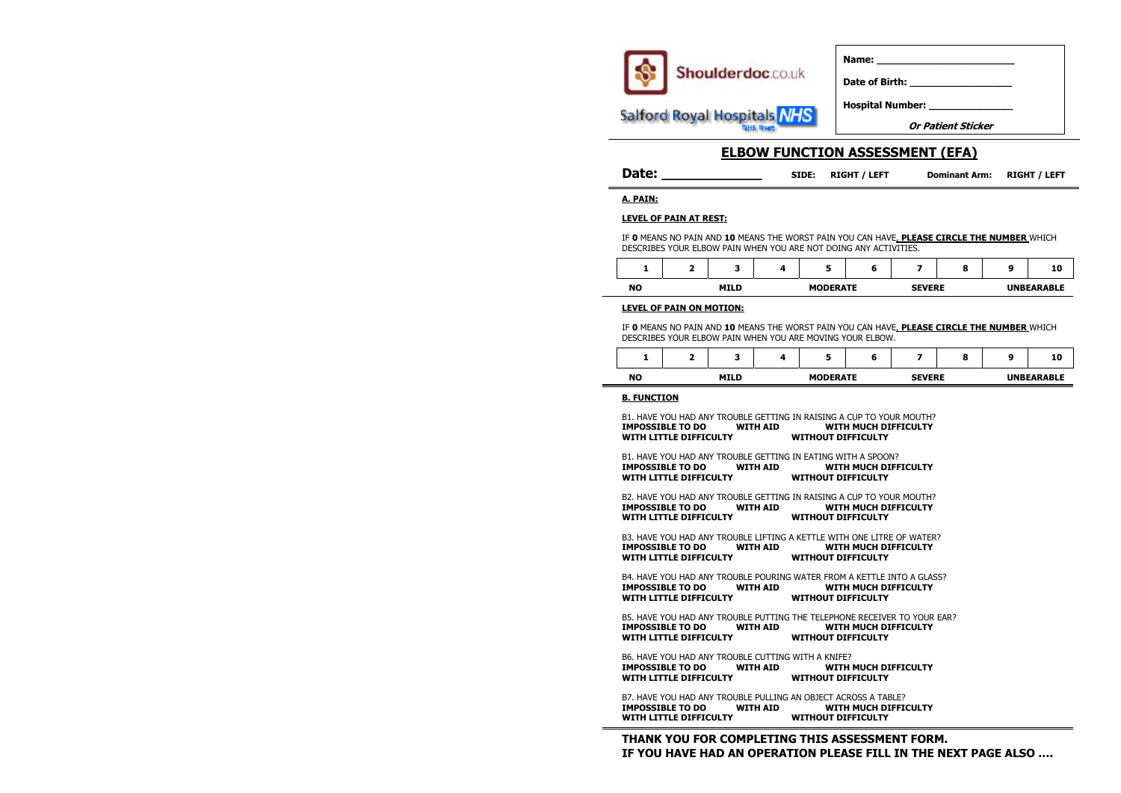

**Hospital Number: \_\_\_\_\_\_\_\_\_\_\_\_\_\_** 

**Or Patient Sticker**

# **ELBOW FUNCTION ASSESSMENT (EFA)**

| <b>Date:</b> | SIDE: | <b>RIGHT / LEFT</b> | Dominant Arm: RIGHT / LEFT |  |
|--------------|-------|---------------------|----------------------------|--|
|--------------|-------|---------------------|----------------------------|--|

**1 2 3 4 5 6 7 8 9 10 THE SEVERE UNBEARABLE** 

Date of Birth:

**A. PAIN:**

### **LEVEL OF PAIN AT REST:**

**1 2 3 4 5 6 7 8 9 10** ATE SEVERE UNBEARABLE

IF **0** MEANS NO PAIN AND **10** MEANS THE WORST PAIN YOU CAN HAVE, **PLEASE CIRCLE THE NUMBER** WHICH DESCRIBES YOUR ELBOW PAIN WHEN YOU ARE NOT DOING ANY ACTIVITIES.

|           |             | e             |  |
|-----------|-------------|---------------|--|
| <b>NO</b> | <b>MILD</b> | <b>MODERA</b> |  |

### **LEVEL OF PAIN ON MOTION:**

IF **0** MEANS NO PAIN AND **10** MEANS THE WORST PAIN YOU CAN HAVE, **PLEASE CIRCLE THE NUMBER** WHICH DESCRIBES YOUR ELBOW PAIN WHEN YOU ARE MOVING YOUR ELBOW.

|           |             | э             |
|-----------|-------------|---------------|
| <b>NO</b> | <b>MILD</b> | <b>MODERA</b> |

### **B. FUNCTION**

B1. HAVE YOU HAD ANY TROUBLE GETTING IN RAISING A CUP TO YOUR MOUTH? **IMPOSSIBLE TO DO WITH AID WITH MUCH DIFFICULTY WITH LITTLE DIFFICULTY WITHOUT DIFFICULTY**

B5. HAVE YOU HAD ANY TROUBLE PUTTING THE TELEPHONE RECEIVER TO YOUR EAR?<br> **IMPOSSIBLE TO DO WITH AID WITH MUCH DIFFICULTY IMPOSSIBLE TO DO WITH AID WITH LITTLE DIFFICULTY WITHOUT DIFFICULTY** 

B1. HAVE YOU HAD ANY TROUBLE GETTING IN EATING WITH A SPOON? **IMPOSSIBLE TO DO WITH AID WITH MUCH DIFFICULTY WITH LITTLE DIFFICULTY WITHOUT DIFFICULTY**

B2. HAVE YOU HAD ANY TROUBLE GETTING IN RAISING A CUP TO YOUR MOUTH? **IMPOSSIBLE TO DO WITH AID WITH MUCH DIFFICULTY WITH LITTLE DIFFICULTY WITHOUT DIFFICULTY** 

B3. HAVE YOU HAD ANY TROUBLE LIFTING A KETTLE WITH ONE LITRE OF WATER? **IMPOSSIBLE TO DO WITH AID WITH MUCH DIFFICULTY WITH LITTLE DIFFICULTY WITHOUT DIFFICULTY** 

B4. HAVE YOU HAD ANY TROUBLE POURING WATER FROM A KETTLE INTO A GLASS? **IMPOSSIBLE TO DO WITH AID WITH MUCH DIFFICULTY WITH LITTLE DIFFICULTY WITHOUT DIFFICULTY** 

B6. HAVE YOU HAD ANY TROUBLE CUTTING WITH A KNIFE? **IMPOSSIBLE TO DO WITH AID WITH MUCH DIFFICULTY WITH LITTLE DIFFICULTY WITHOUT DIFFICULTY** 

B7. HAVE YOU HAD ANY TROUBLE PULLING AN OBJECT ACROSS A TABLE? **IMPOSSIBLE TO DO WITH AID WITH MUCH DIFFICULTY WITH LITTLE DIFFICULTY WITHOUT DIFFICULTY**

**THANK YOU FOR COMPLETING THIS ASSESSMENT FORM. IF YOU HAVE HAD AN OPERATION PLEASE FILL IN THE NEXT PAGE ALSO ….**